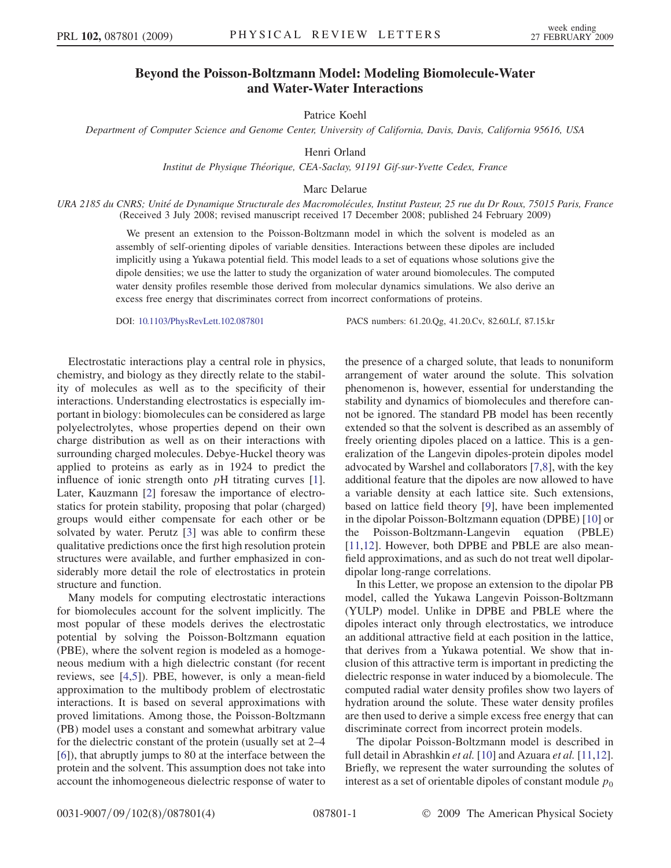## Beyond the Poisson-Boltzmann Model: Modeling Biomolecule-Water and Water-Water Interactions

Patrice Koehl

Department of Computer Science and Genome Center, University of California, Davis, Davis, California 95616, USA

Henri Orland

Institut de Physique Théorique, CEA-Saclay, 91191 Gif-sur-Yvette Cedex, France

Marc Delarue

URA 2185 du CNRS; Unité de Dynamique Structurale des Macromolécules, Institut Pasteur, 25 rue du Dr Roux, 75015 Paris, France (Received 3 July 2008; revised manuscript received 17 December 2008; published 24 February 2009)

> We present an extension to the Poisson-Boltzmann model in which the solvent is modeled as an assembly of self-orienting dipoles of variable densities. Interactions between these dipoles are included implicitly using a Yukawa potential field. This model leads to a set of equations whose solutions give the dipole densities; we use the latter to study the organization of water around biomolecules. The computed water density profiles resemble those derived from molecular dynamics simulations. We also derive an excess free energy that discriminates correct from incorrect conformations of proteins.

DOI: [10.1103/PhysRevLett.102.087801](http://dx.doi.org/10.1103/PhysRevLett.102.087801) PACS numbers: 61.20.Qg, 41.20.Cv, 82.60.Lf, 87.15.kr

Electrostatic interactions play a central role in physics, chemistry, and biology as they directly relate to the stability of molecules as well as to the specificity of their interactions. Understanding electrostatics is especially important in biology: biomolecules can be considered as large polyelectrolytes, whose properties depend on their own charge distribution as well as on their interactions with surrounding charged molecules. Debye-Huckel theory was applied to proteins as early as in 1924 to predict the influence of ionic strength onto pH titrating curves [1]. Later, Kauzmann [2] foresaw the importance of electrostatics for protein stability, proposing that polar (charged) groups would either compensate for each other or be solvated by water. Perutz [3] was able to confirm these qualitative predictions once the first high resolution protein structures were available, and further emphasized in considerably more detail the role of electrostatics in protein structure and function.

Many models for computing electrostatic interactions for biomolecules account for the solvent implicitly. The most popular of these models derives the electrostatic potential by solving the Poisson-Boltzmann equation (PBE), where the solvent region is modeled as a homogeneous medium with a high dielectric constant (for recent reviews, see [4,5]). PBE, however, is only a mean-field approximation to the multibody problem of electrostatic interactions. It is based on several approximations with proved limitations. Among those, the Poisson-Boltzmann (PB) model uses a constant and somewhat arbitrary value for the dielectric constant of the protein (usually set at 2–4 [6]), that abruptly jumps to 80 at the interface between the protein and the solvent. This assumption does not take into account the inhomogeneous dielectric response of water to the presence of a charged solute, that leads to nonuniform arrangement of water around the solute. This solvation phenomenon is, however, essential for understanding the stability and dynamics of biomolecules and therefore cannot be ignored. The standard PB model has been recently extended so that the solvent is described as an assembly of freely orienting dipoles placed on a lattice. This is a generalization of the Langevin dipoles-protein dipoles model advocated by Warshel and collaborators [7,8], with the key additional feature that the dipoles are now allowed to have a variable density at each lattice site. Such extensions, based on lattice field theory [9], have been implemented in the dipolar Poisson-Boltzmann equation (DPBE) [10] or the Poisson-Boltzmann-Langevin equation (PBLE) [11,12]. However, both DPBE and PBLE are also meanfield approximations, and as such do not treat well dipolardipolar long-range correlations.

In this Letter, we propose an extension to the dipolar PB model, called the Yukawa Langevin Poisson-Boltzmann (YULP) model. Unlike in DPBE and PBLE where the dipoles interact only through electrostatics, we introduce an additional attractive field at each position in the lattice, that derives from a Yukawa potential. We show that inclusion of this attractive term is important in predicting the dielectric response in water induced by a biomolecule. The computed radial water density profiles show two layers of hydration around the solute. These water density profiles are then used to derive a simple excess free energy that can discriminate correct from incorrect protein models.

The dipolar Poisson-Boltzmann model is described in full detail in Abrashkin *et al.* [10] and Azuara *et al.* [11,12]. Briefly, we represent the water surrounding the solutes of interest as a set of orientable dipoles of constant module  $p_0$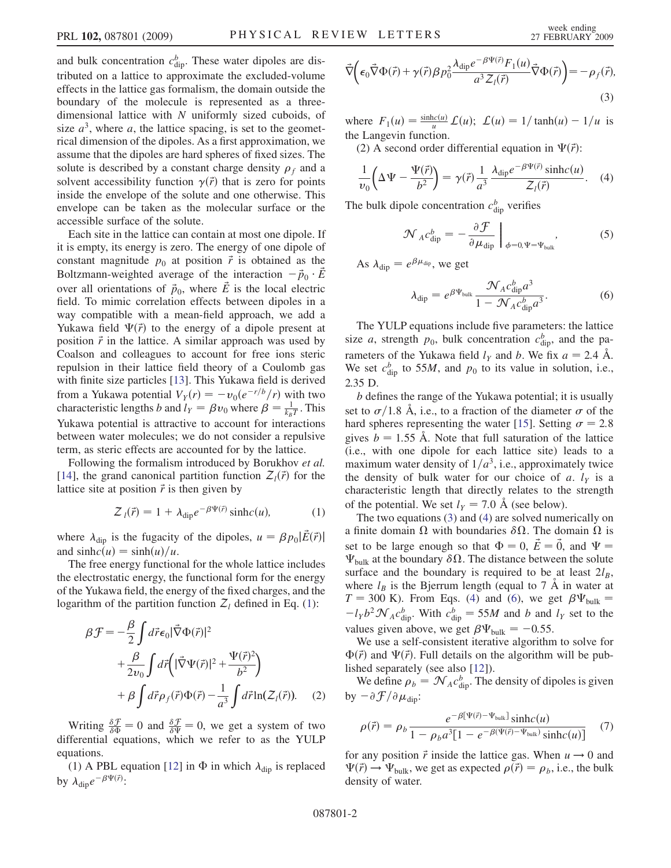and bulk concentration  $c_{\text{dip}}^b$ . These water dipoles are distributed on a lattice to approximate the excluded-volume effects in the lattice gas formalism, the domain outside the boundary of the molecule is represented as a threedimensional lattice with N uniformly sized cuboids, of size  $a^3$ , where a, the lattice spacing, is set to the geometrical dimension of the dipoles. As a first approximation, we assume that the dipoles are hard spheres of fixed sizes. The solute is described by a constant charge density  $\rho_f$  and a solvent accessibility function  $\gamma(\vec{r})$  that is zero for points inside the envelope of the solute and one otherwise. This envelope can be taken as the molecular surface or the accessible surface of the solute.

Each site in the lattice can contain at most one dipole. If it is empty, its energy is zero. The energy of one dipole of constant magnitude  $p_0$  at position  $\vec{r}$  is obtained as the Boltzmann-weighted average of the interaction  $-\vec{p}_0 \cdot \vec{E}$ over all orientations of  $\vec{p}_0$ , where  $\vec{E}$  is the local electric field. To mimic correlation effects between dipoles in a way compatible with a mean-field approach, we add a Yukawa field  $\Psi(\vec{r})$  to the energy of a dipole present at position  $\vec{r}$  in the lattice. A similar approach was used by Coalson and colleagues to account for free ions steric repulsion in their lattice field theory of a Coulomb gas with finite size particles [13]. This Yukawa field is derived from a Yukawa potential  $V_Y(r) = -v_0(e^{-r/b}/r)$  with two characteristic lengths b and  $l_Y = \beta v_0$  where  $\beta = \frac{1}{k_B T}$ . This Yukawa potential is attractive to account for interactions between water molecules; we do not consider a repulsive term, as steric effects are accounted for by the lattice.

<span id="page-1-0"></span>Following the formalism introduced by Borukhov et al. [14], the grand canonical partition function  $Z_l(\vec{r})$  for the lattice site at position  $\vec{r}$  is then given by

$$
Z_{l}(\vec{r}) = 1 + \lambda_{\text{dip}} e^{-\beta \Psi(\vec{r})} \sinh(c(u)), \qquad (1)
$$

where  $\lambda_{\text{dip}}$  is the fugacity of the dipoles,  $u = \beta p_0 |\vec{E}(\vec{r})|$ and  $sinhc(u) = sinh(u)/u$ .

The free energy functional for the whole lattice includes the electrostatic energy, the functional form for the energy of the Yukawa field, the energy of the fixed charges, and the logarithm of the partition function  $Z_l$  defined in Eq. ([1\)](#page-1-0):

$$
\beta \mathcal{F} = -\frac{\beta}{2} \int d\vec{r} \epsilon_0 |\vec{\nabla} \Phi(\vec{r})|^2
$$
  
+ 
$$
\frac{\beta}{2v_0} \int d\vec{r} \left( |\vec{\nabla} \Psi(\vec{r})|^2 + \frac{\Psi(\vec{r})^2}{b^2} \right)
$$
  
+ 
$$
\beta \int d\vec{r} \rho_f(\vec{r}) \Phi(\vec{r}) - \frac{1}{a^3} \int d\vec{r} \ln(Z_l(\vec{r})). \quad (2)
$$

Writing  $\frac{\delta \mathcal{F}}{\delta \Phi} = 0$  and  $\frac{\delta \mathcal{F}}{\delta \Psi} = 0$ , we get a system of two differential equations, which we refer to as the YULP equations.

(1) A PBL equation [12] in  $\Phi$  in which  $\lambda_{\text{dip}}$  is replaced by  $\lambda_{\text{dip}}e^{-\beta\Psi(\vec{r})}$ :

<span id="page-1-1"></span>
$$
\vec{\nabla}\left(\epsilon_0\vec{\nabla}\Phi(\vec{r})+\gamma(\vec{r})\beta p_0^2\frac{\lambda_{\text{dip}}e^{-\beta\Psi(\vec{r})}F_1(u)}{a^3Z_l(\vec{r})}\vec{\nabla}\Phi(\vec{r})\right)=-\rho_f(\vec{r}),
$$
\n(3)

where  $F_1(u) = \frac{\sinh(c(u))}{u} L(u); L(u) = 1/\tanh(u) - 1/u$  is the Langevin function.

<span id="page-1-2"></span>(2) A second order differential equation in  $\Psi(\vec{r})$ :

$$
\frac{1}{v_0} \left( \Delta \Psi - \frac{\Psi(\vec{r})}{b^2} \right) = \gamma(\vec{r}) \frac{1}{a^3} \frac{\lambda_{\text{dip}} e^{-\beta \Psi(\vec{r})} \sinh(c(u))}{Z_l(\vec{r})}.
$$
 (4)

The bulk dipole concentration  $c_{\text{dip}}^b$  verifies

$$
\mathcal{N}_A c_{\rm dip}^b = -\frac{\partial \mathcal{F}}{\partial \mu_{\rm dip}} \bigg|_{\phi = 0, \Psi = \Psi_{\rm bulk}}, \tag{5}
$$

<span id="page-1-3"></span>As  $\lambda_{\text{dip}} = e^{\beta \mu_{\text{dip}}},$  we get

$$
\lambda_{\text{dip}} = e^{\beta \Psi_{\text{bulk}}} \frac{\mathcal{N}_A c_{\text{dip}}^b a^3}{1 - \mathcal{N}_A c_{\text{dip}}^b a^3}.
$$
 (6)

The YULP equations include five parameters: the lattice size a, strength  $p_0$ , bulk concentration  $c_{\text{dip}}^b$ , and the parameters of the Yukawa field  $l_y$  and b. We fix  $a = 2.4$  Å. We set  $c_{\text{dip}}^b$  to 55*M*, and  $p_0$  to its value in solution, i.e., 2.35 D.

b defines the range of the Yukawa potential; it is usually set to  $\sigma/1.8$  Å, i.e., to a fraction of the diameter  $\sigma$  of the hard spheres representing the water [15]. Setting  $\sigma = 2.8$ gives  $b = 1.55$  Å. Note that full saturation of the lattice (i.e., with one dipole for each lattice site) leads to a maximum water density of  $1/a<sup>3</sup>$ , i.e., approximately twice the density of bulk water for our choice of a.  $l_y$  is a characteristic length that directly relates to the strength of the potential. We set  $l_Y = 7.0$  Å (see below).

The two equations [\(3\)](#page-1-1) and ([4](#page-1-2)) are solved numerically on a finite domain  $\Omega$  with boundaries  $\delta\Omega$ . The domain  $\Omega$  is set to be large enough so that  $\Phi = 0$ ,  $\vec{E} = \vec{0}$ , and  $\Psi =$  $\Psi_{\text{bulk}}$  at the boundary  $\delta\Omega$ . The distance between the solute surface and the boundary is required to be at least  $2l_B$ , where  $l_B$  is the Bjerrum length (equal to 7 Å in water at  $T = 300$  K). From Eqs. ([4](#page-1-2)) and ([6\)](#page-1-3), we get  $\beta \Psi_{bulk} =$  $-l_Yb^2\mathcal{N}_Ac_{\text{dip}}^b$ . With  $c_{\text{dip}}^b = 55M$  and b and  $l_Y$  set to the values given above, we get  $\beta \Psi_{\text{bulk}} = -0.55$ .

We use a self-consistent iterative algorithm to solve for  $\Phi(\vec{r})$  and  $\Psi(\vec{r})$ . Full details on the algorithm will be published separately (see also [12]).

We define  $\rho_b = \mathcal{N}_A c_{\text{dip}}^b$ . The density of dipoles is given by  $-\partial \mathcal{F}/\partial \mu_{\text{dip}}$ :

<span id="page-1-4"></span>
$$
\rho(\vec{r}) = \rho_b \frac{e^{-\beta[\Psi(\vec{r}) - \Psi_{\text{bulk}}]} \sinh(c(u))}{1 - \rho_b a^3 [1 - e^{-\beta(\Psi(\vec{r}) - \Psi_{\text{bulk}})} \sinh(c(u))]}
$$
(7)

for any position  $\vec{r}$  inside the lattice gas. When  $u \rightarrow 0$  and  $\Psi(\vec{r}) \rightarrow \Psi_{\text{bulk}}$ , we get as expected  $\rho(\vec{r}) = \rho_b$ , i.e., the bulk density of water.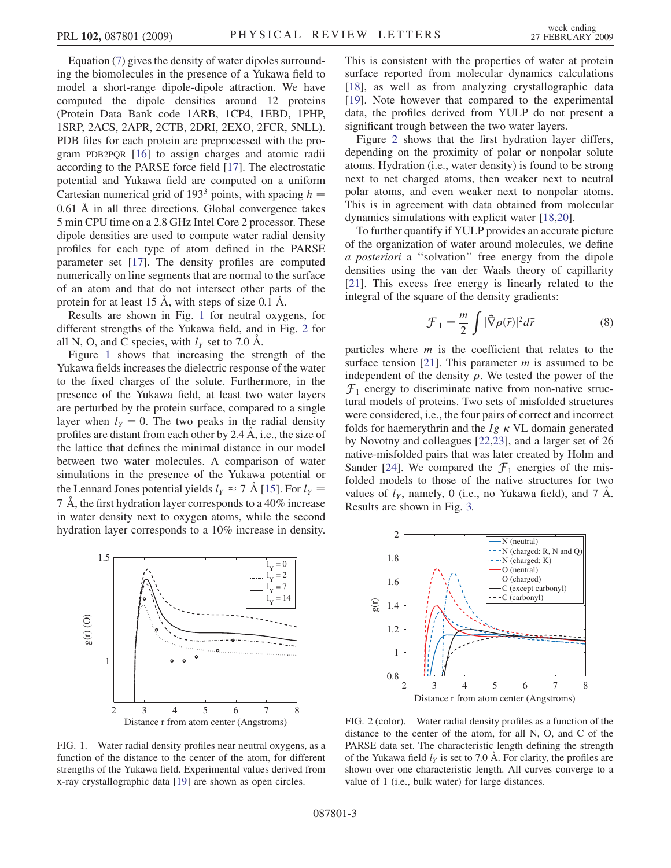Equation ([7](#page-1-4)) gives the density of water dipoles surrounding the biomolecules in the presence of a Yukawa field to model a short-range dipole-dipole attraction. We have computed the dipole densities around 12 proteins (Protein Data Bank code 1ARB, 1CP4, 1EBD, 1PHP, 1SRP, 2ACS, 2APR, 2CTB, 2DRI, 2EXO, 2FCR, 5NLL). PDB files for each protein are preprocessed with the program PDB2PQR [16] to assign charges and atomic radii according to the PARSE force field [17]. The electrostatic potential and Yukawa field are computed on a uniform Cartesian numerical grid of 193<sup>3</sup> points, with spacing  $h =$ 0:61 A in all three directions. Global convergence takes 5 min CPU time on a 2.8 GHz Intel Core 2 processor. These dipole densities are used to compute water radial density profiles for each type of atom defined in the PARSE parameter set [17]. The density profiles are computed numerically on line segments that are normal to the surface of an atom and that do not intersect other parts of the protein for at least 15  $\AA$ , with steps of size 0.1  $\AA$ .

Results are shown in Fig. 1 for neutral oxygens, for different strengths of the Yukawa field, and in Fig. 2 for all N, O, and C species, with  $l_y$  set to 7.0 Å.

Figure 1 shows that increasing the strength of the Yukawa fields increases the dielectric response of the water to the fixed charges of the solute. Furthermore, in the presence of the Yukawa field, at least two water layers are perturbed by the protein surface, compared to a single layer when  $l_y = 0$ . The two peaks in the radial density profiles are distant from each other by 2.4  $\AA$ , i.e., the size of the lattice that defines the minimal distance in our model between two water molecules. A comparison of water simulations in the presence of the Yukawa potential or the Lennard Jones potential yields  $l_Y \approx 7$  Å [15]. For  $l_Y =$ 7 A , the first hydration layer corresponds to a 40% increase in water density next to oxygen atoms, while the second hydration layer corresponds to a 10% increase in density.



FIG. 1. Water radial density profiles near neutral oxygens, as a function of the distance to the center of the atom, for different strengths of the Yukawa field. Experimental values derived from x-ray crystallographic data [19] are shown as open circles.

This is consistent with the properties of water at protein surface reported from molecular dynamics calculations [18], as well as from analyzing crystallographic data [19]. Note however that compared to the experimental data, the profiles derived from YULP do not present a significant trough between the two water layers.

Figure 2 shows that the first hydration layer differs, depending on the proximity of polar or nonpolar solute atoms. Hydration (i.e., water density) is found to be strong next to net charged atoms, then weaker next to neutral polar atoms, and even weaker next to nonpolar atoms. This is in agreement with data obtained from molecular dynamics simulations with explicit water [18,20].

To further quantify if YULP provides an accurate picture of the organization of water around molecules, we define a posteriori a ''solvation'' free energy from the dipole densities using the van der Waals theory of capillarity [21]. This excess free energy is linearly related to the integral of the square of the density gradients:

$$
\mathcal{F}_1 = \frac{m}{2} \int |\vec{\nabla}\rho(\vec{r})|^2 d\vec{r}
$$
 (8)

particles where  $m$  is the coefficient that relates to the surface tension [21]. This parameter  $m$  is assumed to be independent of the density  $\rho$ . We tested the power of the  $\mathcal{F}_1$  energy to discriminate native from non-native structural models of proteins. Two sets of misfolded structures were considered, i.e., the four pairs of correct and incorrect folds for haemerythrin and the  $Ig \kappa$  VL domain generated by Novotny and colleagues [22,23], and a larger set of 26 native-misfolded pairs that was later created by Holm and Sander [24]. We compared the  $\mathcal{F}_1$  energies of the misfolded models to those of the native structures for two values of  $l_y$ , namely, 0 (i.e., no Yukawa field), and 7 Å. Results are shown in Fig. [3.](#page-3-0)



FIG. 2 (color). Water radial density profiles as a function of the distance to the center of the atom, for all N, O, and C of the PARSE data set. The characteristic length defining the strength of the Yukawa field  $l_y$  is set to 7.0 Å. For clarity, the profiles are shown over one characteristic length. All curves converge to a value of 1 (i.e., bulk water) for large distances.